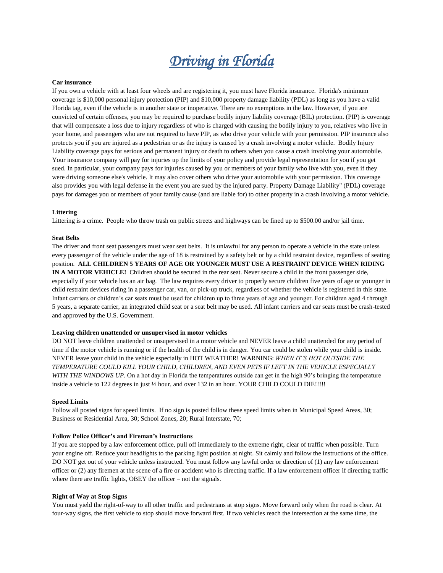# *Driving in Florida*

## **Car insurance**

If you own a vehicle with at least four wheels and are registering it, you must have Florida insurance. Florida's minimum coverage is \$10,000 personal injury protection (PIP) and \$10,000 property damage liability (PDL) as long as you have a valid Florida tag, even if the vehicle is in another state or inoperative. There are no exemptions in the law. However, if you are convicted of certain offenses, you may be required to purchase bodily injury liability coverage (BIL) protection. (PIP) is coverage that will compensate a loss due to injury regardless of who is charged with causing the bodily injury to you, relatives who live in your home, and passengers who are not required to have PIP, as who drive your vehicle with your permission. PIP insurance also protects you if you are injured as a pedestrian or as the injury is caused by a crash involving a motor vehicle. Bodily Injury Liability coverage pays for serious and permanent injury or death to others when you cause a crash involving your automobile. Your insurance company will pay for injuries up the limits of your policy and provide legal representation for you if you get sued. In particular, your company pays for injuries caused by you or members of your family who live with you, even if they were driving someone else's vehicle. It may also cover others who drive your automobile with your permission. This coverage also provides you with legal defense in the event you are sued by the injured party. Property Damage Liability" (PDL) coverage pays for damages you or members of your family cause (and are liable for) to other property in a crash involving a motor vehicle.

#### **Littering**

Littering is a crime. People who throw trash on public streets and highways can be fined up to \$500.00 and/or jail time.

#### **Seat Belts**

The driver and front seat passengers must wear seat belts. It is unlawful for any person to operate a vehicle in the state unless every passenger of the vehicle under the age of 18 is restrained by a safety belt or by a child restraint device, regardless of seating position. **ALL CHILDREN 5 YEARS OF AGE OR YOUNGER MUST USE A RESTRAINT DEVICE WHEN RIDING IN A MOTOR VEHICLE!** Children should be secured in the rear seat. Never secure a child in the front passenger side, especially if your vehicle has an air bag. The law requires every driver to properly secure children five years of age or younger in child restraint devices riding in a passenger car, van, or pick-up truck, regardless of whether the vehicle is registered in this state. Infant carriers or children's car seats must be used for children up to three years of age and younger. For children aged 4 through 5 years, a separate carrier, an integrated child seat or a seat belt may be used. All infant carriers and car seats must be crash-tested and approved by the U.S. Government.

#### **Leaving children unattended or unsupervised in motor vehicles**

DO NOT leave children unattended or unsupervised in a motor vehicle and NEVER leave a child unattended for any period of time if the motor vehicle is running or if the health of the child is in danger. You car could be stolen while your child is inside. NEVER leave your child in the vehicle especially in HOT WEATHER! WARNING: *WHEN IT'S HOT OUTSIDE THE TEMPERATURE COULD KILL YOUR CHILD, CHILDREN, AND EVEN PETS IF LEFT IN THE VEHICLE ESPECIALLY WITH THE WINDOWS UP.* On a hot day in Florida the temperatures outside can get in the high 90's bringing the temperature inside a vehicle to 122 degrees in just  $\frac{1}{2}$  hour, and over 132 in an hour. YOUR CHILD COULD DIE!!!!!

## **Speed Limits**

Follow all posted signs for speed limits. If no sign is posted follow these speed limits when in Municipal Speed Areas, 30; Business or Residential Area, 30; School Zones, 20; Rural Interstate, 70;

## **Follow Police Officer's and Fireman's Instructions**

If you are stopped by a law enforcement office, pull off immediately to the extreme right, clear of traffic when possible. Turn your engine off. Reduce your headlights to the parking light position at night. Sit calmly and follow the instructions of the office. DO NOT get out of your vehicle unless instructed. You must follow any lawful order or direction of (1) any law enforcement officer or (2) any firemen at the scene of a fire or accident who is directing traffic. If a law enforcement officer if directing traffic where there are traffic lights, OBEY the officer – not the signals.

## **Right of Way at Stop Signs**

You must yield the right-of-way to all other traffic and pedestrians at stop signs. Move forward only when the road is clear. At four-way signs, the first vehicle to stop should move forward first. If two vehicles reach the intersection at the same time, the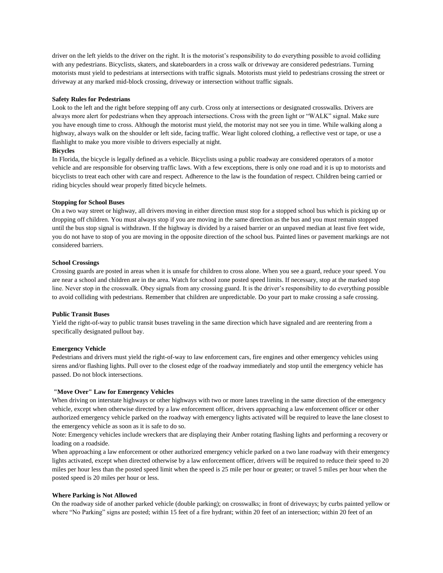driver on the left yields to the driver on the right. It is the motorist's responsibility to do everything possible to avoid colliding with any pedestrians. Bicyclists, skaters, and skateboarders in a cross walk or driveway are considered pedestrians. Turning motorists must yield to pedestrians at intersections with traffic signals. Motorists must yield to pedestrians crossing the street or driveway at any marked mid-block crossing, driveway or intersection without traffic signals.

### **Safety Rules for Pedestrians**

Look to the left and the right before stepping off any curb. Cross only at intersections or designated crosswalks. Drivers are always more alert for pedestrians when they approach intersections. Cross with the green light or "WALK" signal. Make sure you have enough time to cross. Although the motorist must yield, the motorist may not see you in time. While walking along a highway, always walk on the shoulder or left side, facing traffic. Wear light colored clothing, a reflective vest or tape, or use a flashlight to make you more visible to drivers especially at night.

# **Bicycles**

In Florida, the bicycle is legally defined as a vehicle. Bicyclists using a public roadway are considered operators of a motor vehicle and are responsible for observing traffic laws. With a few exceptions, there is only one road and it is up to motorists and bicyclists to treat each other with care and respect. Adherence to the law is the foundation of respect. Children being carried or riding bicycles should wear properly fitted bicycle helmets.

## **Stopping for School Buses**

On a two way street or highway, all drivers moving in either direction must stop for a stopped school bus which is picking up or dropping off children. You must always stop if you are moving in the same direction as the bus and you must remain stopped until the bus stop signal is withdrawn. If the highway is divided by a raised barrier or an unpaved median at least five feet wide, you do not have to stop of you are moving in the opposite direction of the school bus. Painted lines or pavement markings are not considered barriers.

# **School Crossings**

Crossing guards are posted in areas when it is unsafe for children to cross alone. When you see a guard, reduce your speed. You are near a school and children are in the area. Watch for school zone posted speed limits. If necessary, stop at the marked stop line. Never stop in the crosswalk. Obey signals from any crossing guard. It is the driver's responsibility to do everything possible to avoid colliding with pedestrians. Remember that children are unpredictable. Do your part to make crossing a safe crossing.

# **Public Transit Buses**

Yield the right-of-way to public transit buses traveling in the same direction which have signaled and are reentering from a specifically designated pullout bay.

### **Emergency Vehicle**

Pedestrians and drivers must yield the right-of-way to law enforcement cars, fire engines and other emergency vehicles using sirens and/or flashing lights. Pull over to the closest edge of the roadway immediately and stop until the emergency vehicle has passed. Do not block intersections.

# **"Move Over" Law for Emergency Vehicles**

When driving on interstate highways or other highways with two or more lanes traveling in the same direction of the emergency vehicle, except when otherwise directed by a law enforcement officer, drivers approaching a law enforcement officer or other authorized emergency vehicle parked on the roadway with emergency lights activated will be required to leave the lane closest to the emergency vehicle as soon as it is safe to do so.

Note: Emergency vehicles include wreckers that are displaying their Amber rotating flashing lights and performing a recovery or loading on a roadside.

When approaching a law enforcement or other authorized emergency vehicle parked on a two lane roadway with their emergency lights activated, except when directed otherwise by a law enforcement officer, drivers will be required to reduce their speed to 20 miles per hour less than the posted speed limit when the speed is 25 mile per hour or greater; or travel 5 miles per hour when the posted speed is 20 miles per hour or less.

### **Where Parking is Not Allowed**

On the roadway side of another parked vehicle (double parking); on crosswalks; in front of driveways; by curbs painted yellow or where "No Parking" signs are posted; within 15 feet of a fire hydrant; within 20 feet of an intersection; within 20 feet of an